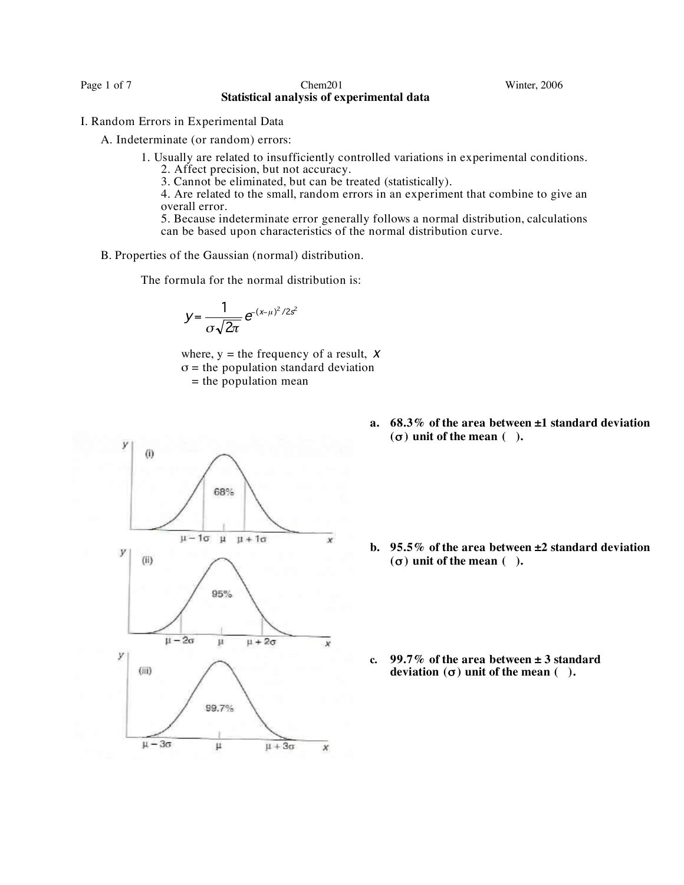Page 1 of 7 Chem201 Chem201 Winter, 2006 **Statistical analysis of experimental data**

- I. Random Errors in Experimental Data
	- A. Indeterminate (or random) errors:
		- 1. Usually are related to insufficiently controlled variations in experimental conditions. 2. Affect precision, but not accuracy.
			-
			- 3. Cannot be eliminated, but can be treated (statistically).
			- 4. Are related to the small, random errors in an experiment that combine to give an overall error.
			- 5. Because indeterminate error generally follows a normal distribution, calculations can be based upon characteristics of the normal distribution curve.
	- B. Properties of the Gaussian (normal) distribution.

The formula for the normal distribution is:

$$
y=\frac{1}{\sigma\sqrt{2\pi}}e^{-(x-\mu)^2/2s^2}
$$

where,  $y =$  the frequency of a result,  $X$  $\sigma$  = the population standard deviation  $=$  the population mean



**a. 68.3% of the area between ±1 standard deviation (**σ **) unit of the mean ( ).**

- **b. 95.5% of the area between ±2 standard deviation**  $($  $\sigma)$  **unit of the mean**  $($  **).**
- **c. 99.7% of the area between ± 3 standard deviation**  $(\sigma)$  **unit of the mean**  $(\cdot)$ .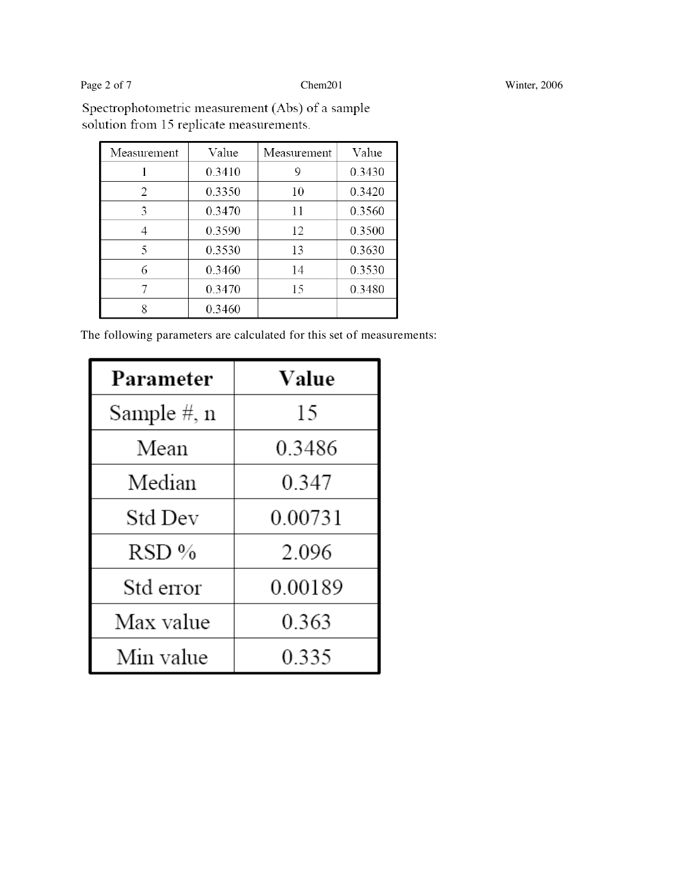Page 2 of 7 Chem201 Winter, 2006

Spectrophotometric measurement (Abs) of a sample solution from 15 replicate measurements.

| Measurement   | Value  | Measurement | Value  |
|---------------|--------|-------------|--------|
|               | 0.3410 | 9           | 0.3430 |
| $\mathcal{L}$ | 0.3350 | 10          | 0.3420 |
| 3             | 0.3470 | 11          | 0.3560 |
|               | 0.3590 | 12          | 0.3500 |
| 5             | 0.3530 | 13          | 0.3630 |
| 6             | 0.3460 | 14          | 0.3530 |
|               | 0.3470 | 15          | 0.3480 |
|               | 0.3460 |             |        |

The following parameters are calculated for this set of measurements:

| Parameter   | Value   |
|-------------|---------|
| Sample #, n | 15      |
| Mean        | 0.3486  |
| Median      | 0.347   |
| Std Dev     | 0.00731 |
| RSD %       | 2.096   |
| Std error   | 0.00189 |
| Max value   | 0.363   |
| Min value   | 0.335   |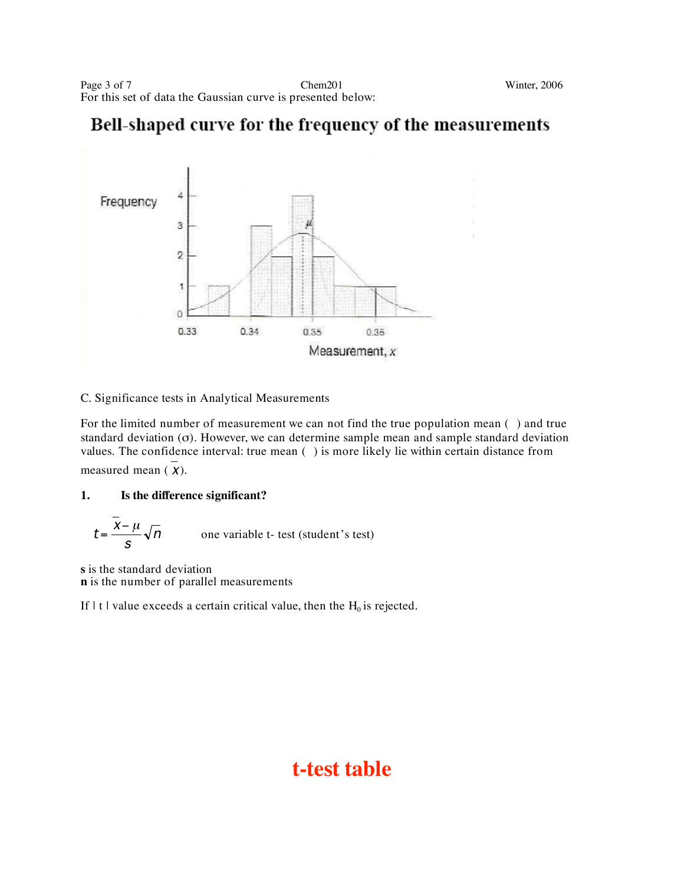### Bell-shaped curve for the frequency of the measurements



### C. Significance tests in Analytical Measurements

For the limited number of measurement we can not find the true population mean () and true standard deviation (σ). However, we can determine sample mean and sample standard deviation values. The confidence interval: true mean () is more likely lie within certain distance from measured mean (X).

### **1. Is the difference significant?**

$$
t = \frac{\bar{x} - \mu}{s} \sqrt{n}
$$
 one variable t- test (student's test)

**s** is the standard deviation **n** is the number of parallel measurements

If  $|t|$  value exceeds a certain critical value, then the  $H_0$  is rejected.

## **t-test table**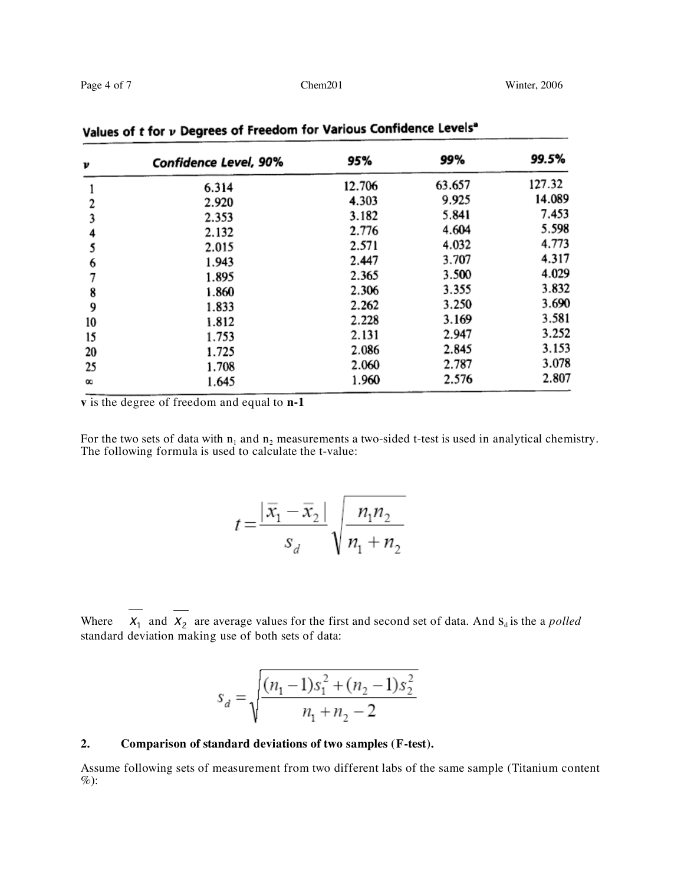| v          | <b>Confidence Level, 90%</b> | 95%    | 99%    | 99.5%  |
|------------|------------------------------|--------|--------|--------|
|            | 6.314                        | 12.706 | 63.657 | 127.32 |
| 2          | 2.920                        | 4.303  | 9.925  | 14.089 |
| 3          | 2.353                        | 3.182  | 5.841  | 7.453  |
|            | 2.132                        | 2.776  | 4.604  | 5.598  |
|            | 2.015                        | 2.571  | 4.032  | 4.773  |
| 6          | 1.943                        | 2.447  | 3.707  | 4.317  |
|            | 1.895                        | 2.365  | 3.500  | 4.029  |
| 8          | 1.860                        | 2.306  | 3.355  | 3.832  |
| 9          | 1.833                        | 2.262  | 3.250  | 3.690  |
| 10         | 1.812                        | 2.228  | 3.169  | 3.581  |
| 15         | 1.753                        | 2.131  | 2.947  | 3.252  |
| 20         | 1.725                        | 2.086  | 2.845  | 3.153  |
| 25         | 1.708                        | 2.060  | 2.787  | 3.078  |
| $^{\circ}$ | 1.645                        | 1.960  | 2.576  | 2.807  |

Values of  $t$  for  $\nu$  Degrees of Freedom for Various Confidence Levels<sup>a</sup>

**v** is the degree of freedom and equal to **n-1**

For the two sets of data with  $n_1$  and  $n_2$  measurements a two-sided t-test is used in analytical chemistry. The following formula is used to calculate the t-value:

$$
t = \frac{|\bar{x}_1 - \bar{x}_2|}{s_d} \sqrt{\frac{n_1 n_2}{n_1 + n_2}}
$$

Where  $X_1$  and  $X_2$  are average values for the first and second set of data. And  $S_d$  is the a *polled* standard deviation making use of both sets of data:

$$
s_d = \sqrt{\frac{(n_1 - 1)s_1^2 + (n_2 - 1)s_2^2}{n_1 + n_2 - 2}}
$$

### **2. Comparison of standard deviations of two samples (F-test).**

Assume following sets of measurement from two different labs of the same sample (Titanium content  $\%$ ):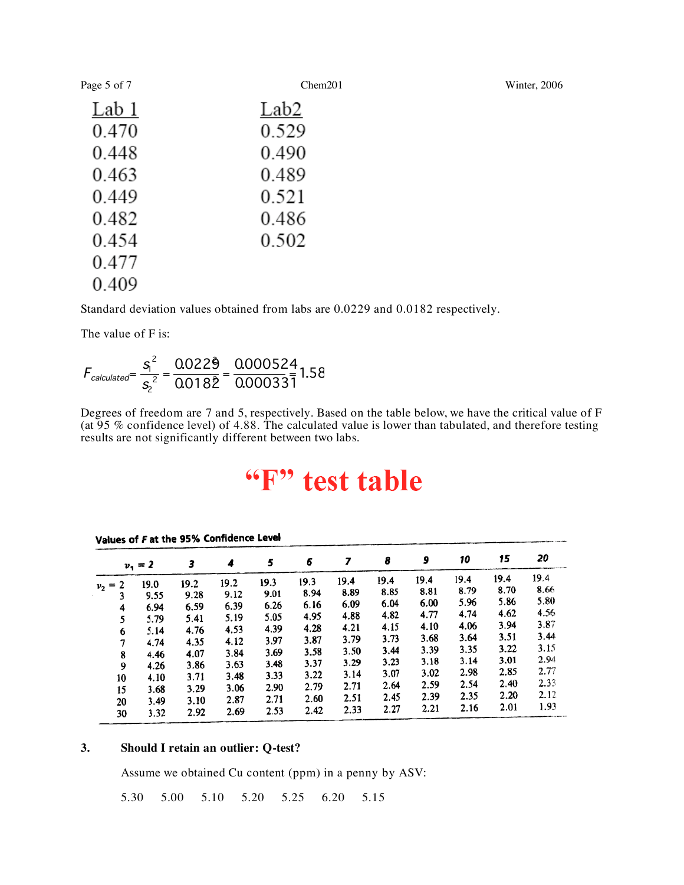Page 5 of 7 Chem201 Chem201 Winter, 2006

| Lab 1 | Lab2  |
|-------|-------|
| 0.470 | 0.529 |
| 0.448 | 0.490 |
| 0.463 | 0.489 |
| 0.449 | 0.521 |
| 0.482 | 0.486 |
| 0.454 | 0.502 |
| 0.477 |       |
| 0.409 |       |

Standard deviation values obtained from labs are 0.0229 and 0.0182 respectively.

The value of F is:

$$
F_{calculated} = \frac{S_1^2}{S_2^2} = \frac{0.0229}{0.0182} = \frac{0.000524}{0.000331} = 1.58
$$

Degrees of freedom are 7 and 5, respectively. Based on the table below, we have the critical value of F (at 95 % confidence level) of 4.88. The calculated value is lower than tabulated, and therefore testing results are not significantly different between two labs.

# "F" test table

|                | $v_1 = 2$ | 3    | 4    | 5    | 6    | 7    | 8    | 9    | 10   | 15   | 20   |
|----------------|-----------|------|------|------|------|------|------|------|------|------|------|
|                | 19.0      | 19.2 | 19.2 | 19.3 | 19.3 | 19.4 | 19.4 | 19.4 | 19.4 | 19.4 | 19.4 |
| $v_2 = 2$<br>3 | 9.55      | 9.28 | 9.12 | 9.01 | 8.94 | 8.89 | 8.85 | 8.81 | 8.79 | 8.70 | 8.66 |
| 4              | 6.94      | 6.59 | 6.39 | 6.26 | 6.16 | 6.09 | 6.04 | 6.00 | 5.96 | 5.86 | 5.80 |
| 5              | 5.79      | 5.41 | 5.19 | 5.05 | 4.95 | 4.88 | 4.82 | 4.77 | 4.74 | 4.62 | 4.56 |
|                | 5.14      | 4.76 | 4.53 | 4.39 | 4.28 | 4.21 | 4.15 | 4.10 | 4.06 | 3.94 | 3.87 |
| 6<br>7         | 4.74      | 4.35 | 4.12 | 3.97 | 3.87 | 3.79 | 3.73 | 3.68 | 3.64 | 3.51 | 3.44 |
|                |           | 4.07 | 3.84 | 3.69 | 3.58 | 3.50 | 3.44 | 3.39 | 3.35 | 3.22 | 3.15 |
| 8              | 4.46      | 3.86 | 3.63 | 3.48 | 3.37 | 3.29 | 3.23 | 3.18 | 3.14 | 3.01 | 2.94 |
| 9              | 4.26      |      | 3.48 | 3.33 | 3.22 | 3.14 | 3.07 | 3.02 | 2.98 | 2.85 | 2.77 |
| 10             | 4.10      | 3.71 |      | 2.90 | 2.79 | 2.71 | 2.64 | 2.59 | 2.54 | 2.40 | 2.33 |
| 15             | 3.68      | 3.29 | 3.06 |      | 2.60 | 2.51 | 2.45 | 2.39 | 2.35 | 2.20 | 2.12 |
| 20             | 3.49      | 3.10 | 2.87 | 2.71 |      | 2.33 | 2.27 | 2.21 | 2.16 | 2.01 | 1.93 |
| 30             | 3.32      | 2.92 | 2.69 | 2.53 | 2.42 |      |      |      |      |      |      |

#### Values of F at the 95% Confidence Level

### **3. Should I retain an outlier: Q-test?**

Assume we obtained Cu content (ppm) in a penny by ASV:

5.30 5.00 5.10 5.20 5.25 6.20 5.15